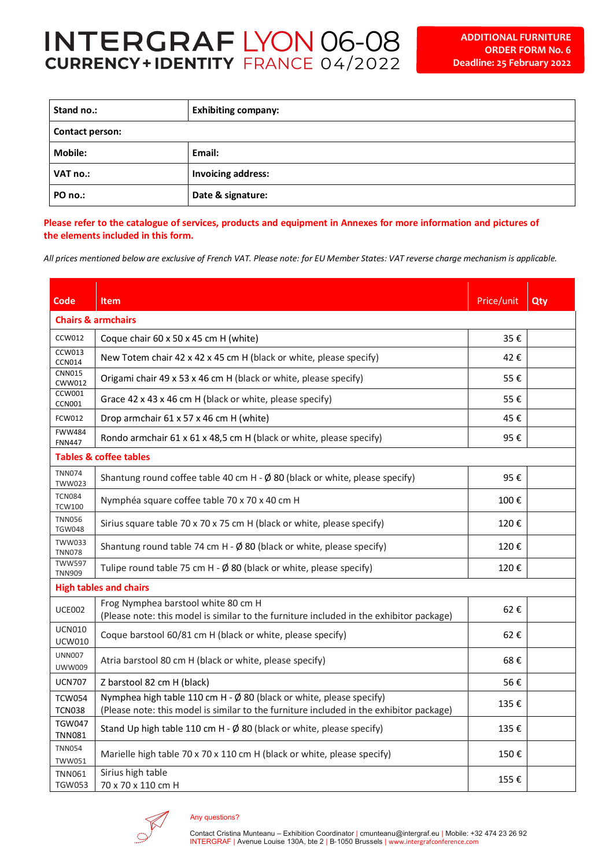## **INTERGRAF LYON 06-08**<br>CURRENCY+IDENTITY FRANCE 04/2022

| Stand no.:      | <b>Exhibiting company:</b> |  |  |  |
|-----------------|----------------------------|--|--|--|
| Contact person: |                            |  |  |  |
| <b>Mobile:</b>  | Email:                     |  |  |  |
| VAT no.:        | <b>Invoicing address:</b>  |  |  |  |
| PO no.:         | Date & signature:          |  |  |  |

Please refer to the catalogue of services, products and equipment in Annexes for more information and pictures of **the elements included in this form.**

*All prices mentioned below are exclusive of French VAT. Please note: for EU Member States: VAT reverse charge mechanism is applicable.* 

| Code                              | <b>Item</b>                                                                                                                                                              | Price/unit | Qty |  |  |
|-----------------------------------|--------------------------------------------------------------------------------------------------------------------------------------------------------------------------|------------|-----|--|--|
|                                   | <b>Chairs &amp; armchairs</b>                                                                                                                                            |            |     |  |  |
| <b>CCW012</b>                     | Coque chair 60 x 50 x 45 cm H (white)                                                                                                                                    | 35€        |     |  |  |
| <b>CCW013</b><br><b>CCN014</b>    | New Totem chair 42 x 42 x 45 cm H (black or white, please specify)                                                                                                       | 42€        |     |  |  |
| <b>CNN015</b><br>CWW012           | Origami chair 49 x 53 x 46 cm H (black or white, please specify)                                                                                                         | 55€        |     |  |  |
| <b>CCW001</b><br><b>CCN001</b>    | Grace 42 x 43 x 46 cm H (black or white, please specify)                                                                                                                 | 55€        |     |  |  |
| <b>FCW012</b>                     | Drop armchair 61 x 57 x 46 cm H (white)                                                                                                                                  | 45€        |     |  |  |
| <b>FWW484</b><br><b>FNN447</b>    | Rondo armchair 61 x 61 x 48,5 cm H (black or white, please specify)                                                                                                      | 95€        |     |  |  |
| <b>Tables &amp; coffee tables</b> |                                                                                                                                                                          |            |     |  |  |
| <b>TNN074</b><br><b>TWW023</b>    | Shantung round coffee table 40 cm H - $\emptyset$ 80 (black or white, please specify)                                                                                    | 95€        |     |  |  |
| <b>TCN084</b><br><b>TCW100</b>    | Nymphéa square coffee table 70 x 70 x 40 cm H                                                                                                                            | 100€       |     |  |  |
| <b>TNN056</b><br><b>TGW048</b>    | Sirius square table 70 x 70 x 75 cm H (black or white, please specify)                                                                                                   | 120€       |     |  |  |
| <b>TWW033</b><br><b>TNN078</b>    | Shantung round table 74 cm H - $\emptyset$ 80 (black or white, please specify)                                                                                           | 120€       |     |  |  |
| <b>TWW597</b><br><b>TNN909</b>    | Tulipe round table 75 cm H - $\emptyset$ 80 (black or white, please specify)                                                                                             | 120€       |     |  |  |
| <b>High tables and chairs</b>     |                                                                                                                                                                          |            |     |  |  |
| <b>UCE002</b>                     | Frog Nymphea barstool white 80 cm H<br>(Please note: this model is similar to the furniture included in the exhibitor package)                                           | 62€        |     |  |  |
| <b>UCN010</b><br><b>UCW010</b>    | Coque barstool 60/81 cm H (black or white, please specify)                                                                                                               | 62€        |     |  |  |
| <b>UNN007</b><br><b>UWW009</b>    | Atria barstool 80 cm H (black or white, please specify)                                                                                                                  | 68€        |     |  |  |
| <b>UCN707</b>                     | Z barstool 82 cm H (black)                                                                                                                                               | 56€        |     |  |  |
| <b>TCW054</b><br><b>TCN038</b>    | Nymphea high table 110 cm H - $\emptyset$ 80 (black or white, please specify)<br>(Please note: this model is similar to the furniture included in the exhibitor package) | 135€       |     |  |  |
| <b>TGW047</b><br><b>TNN081</b>    | Stand Up high table 110 cm H - Ø 80 (black or white, please specify)                                                                                                     | 135€       |     |  |  |
| <b>TNN054</b><br><b>TWW051</b>    | Marielle high table 70 x 70 x 110 cm H (black or white, please specify)                                                                                                  | 150€       |     |  |  |
| <b>TNN061</b><br><b>TGW053</b>    | Sirius high table<br>70 x 70 x 110 cm H                                                                                                                                  | 155€       |     |  |  |



## Any questions?